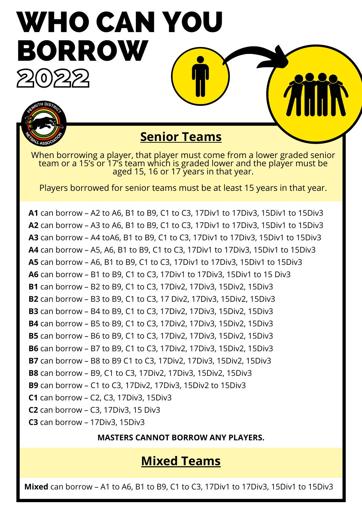# WHO CAN YOU BORROW  $Z(0)ZZ$



# **Senior Teams**

When borrowing a player, that player must come from a lower graded senior team or a 15's or 17's team which is graded lower and the player must be aged 15, 16 or 17 years in that year.

Players borrowed for senior teams must be at least 15 years in that year.

**A1** can borrow – A2 to A6, B1 to B9, C1 to C3, 17Div1 to 17Div3, 15Div1 to 15Div3 **A2** can borrow – A3 to A6, B1 to B9, C1 to C3, 17Div1 to 17Div3, 15Div1 to 15Div3 **A3** can borrow – A4 toA6, B1 to B9, C1 to C3, 17Div1 to 17Div3, 15Div1 to 15Div3 **A4** can borrow – A5, A6, B1 to B9, C1 to C3, 17Div1 to 17Div3, 15Div1 to 15Div3 **A5** can borrow – A6, B1 to B9, C1 to C3, 17Div1 to 17Div3, 15Div1 to 15Div3 **A6** can borrow – B1 to B9, C1 to C3, 17Div1 to 17Div3, 15Div1 to 15 Div3 **B1** can borrow – B2 to B9, C1 to C3, 17Div2, 17Div3, 15Div2, 15Div3 **B2** can borrow – B3 to B9, C1 to C3, 17 Div2, 17Div3, 15Div2, 15Div3 **B3** can borrow – B4 to B9, C1 to C3, 17Div2, 17Div3, 15Div2, 15Div3 **B4** can borrow – B5 to B9, C1 to C3, 17Div2, 17Div3, 15Div2, 15Div3 **B5** can borrow – B6 to B9, C1 to C3, 17Div2, 17Div3, 15Div2, 15Div3 **B6** can borrow – B7 to B9, C1 to C3, 17Div2, 17Div3, 15Div2, 15Div3 **B7** can borrow – B8 to B9 C1 to C3, 17Div2, 17Div3, 15Div2, 15Div3 **B8** can borrow – B9, C1 to C3, 17Div2, 17Div3, 15Div2, 15Div3 **B9** can borrow – C1 to C3, 17Div2, 17Div3, 15Div2 to 15Div3 **C1** can borrow – C2, C3, 17Div3, 15Div3 **C2** can borrow – C3, 17Div3, 15 Div3 **C3** can borrow – 17Div3, 15Div3

**MASTERS CANNOT BORROW ANY PLAYERS.**

## **Mixed Teams**

**Mixed** can borrow – A1 to A6, B1 to B9, C1 to C3, 17Div1 to 17Div3, 15Div1 to 15Div3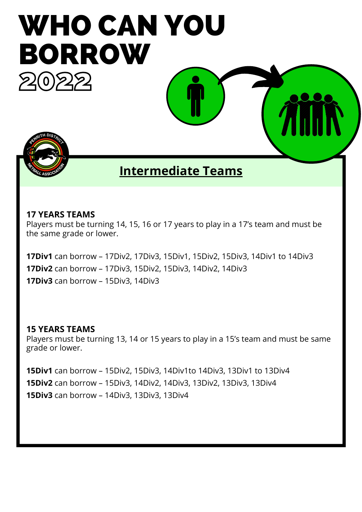

### **Intermediate Teams**

#### **17 YEARS TEAMS**

Players must be turning 14, 15, 16 or 17 years to play in a 17's team and must be the same grade or lower.

**17Div1** can borrow – 17Div2, 17Div3, 15Div1, 15Div2, 15Div3, 14Div1 to 14Div3 **17Div2** can borrow – 17Div3, 15Div2, 15Div3, 14Div2, 14Div3 **17Div3** can borrow – 15Div3, 14Div3

#### **15 YEARS TEAMS**

Players must be turning 13, 14 or 15 years to play in a 15's team and must be same grade or lower.

**15Div1** can borrow – 15Div2, 15Div3, 14Div1to 14Div3, 13Div1 to 13Div4 **15Div2** can borrow – 15Div3, 14Div2, 14Div3, 13Div2, 13Div3, 13Div4 **15Div3** can borrow – 14Div3, 13Div3, 13Div4